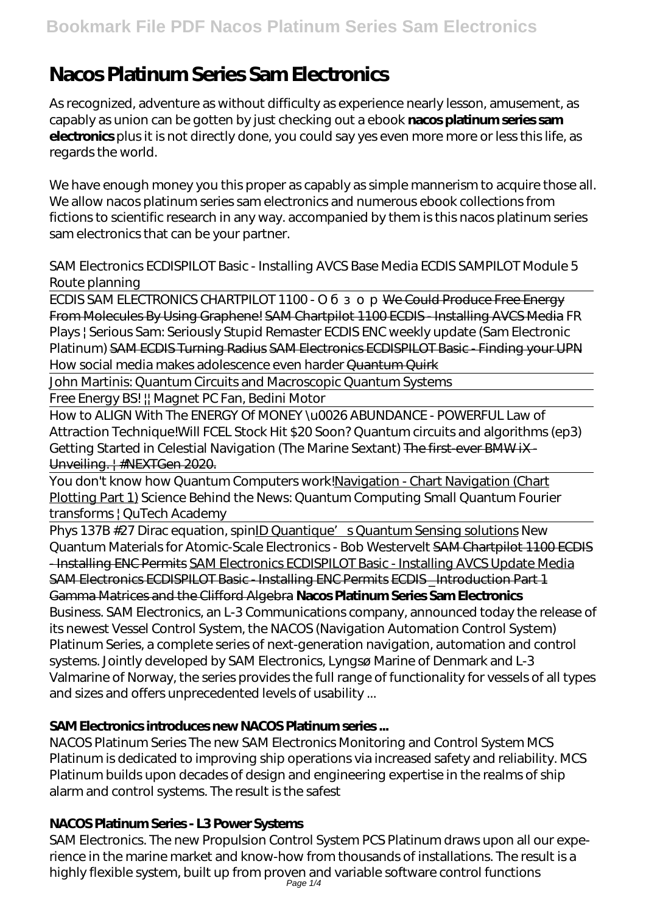# **Nacos Platinum Series Sam Electronics**

As recognized, adventure as without difficulty as experience nearly lesson, amusement, as capably as union can be gotten by just checking out a ebook **nacos platinum series sam electronics** plus it is not directly done, you could say yes even more more or less this life, as regards the world.

We have enough money you this proper as capably as simple mannerism to acquire those all. We allow nacos platinum series sam electronics and numerous ebook collections from fictions to scientific research in any way. accompanied by them is this nacos platinum series sam electronics that can be your partner.

SAM Electronics ECDISPILOT Basic - Installing AVCS Base Media *ECDIS SAMPILOT Module 5 Route planning*

ECDIS SAM ELECTRONICS CHARTPILOT 1100 - We Could Produce Free Energy From Molecules By Using Graphene! SAM Chartpilot 1100 ECDIS - Installing AVCS Media *FR Plays | Serious Sam: Seriously Stupid Remaster* ECDIS ENC weekly update (Sam Electronic Platinum) SAM ECDIS Turning Radius SAM Electronics ECDISPILOT Basic - Finding your UPN How social media makes adolescence even harder Quantum Quirk

John Martinis: Quantum Circuits and Macroscopic Quantum Systems

Free Energy BS! || Magnet PC Fan, Bedini Motor

How to ALIGN With The ENERGY Of MONEY \u0026 ABUNDANCE - POWERFUL Law of Attraction Technique!*Will FCEL Stock Hit \$20 Soon?* Quantum circuits and algorithms (ep3) Getting Started in Celestial Navigation (The Marine Sextant) The first-ever BMW iX -Unveiling. | #NEXTGen 2020.

You don't know how Quantum Computers work!Navigation - Chart Navigation (Chart Plotting Part 1) *Science Behind the News: Quantum Computing Small Quantum Fourier transforms | QuTech Academy*

Phys 137B #27 Dirac equation, spin<u>ID Quantique's Quantum Sensing solutions</u> *New Quantum Materials for Atomic-Scale Electronics - Bob Westervelt* SAM Chartpilot 1100 ECDIS - Installing ENC Permits SAM Electronics ECDISPILOT Basic - Installing AVCS Update Media SAM Electronics ECDISPILOT Basic - Installing ENC Permits ECDIS \_Introduction Part 1 Gamma Matrices and the Clifford Algebra **Nacos Platinum Series Sam Electronics** Business. SAM Electronics, an L-3 Communications company, announced today the release of its newest Vessel Control System, the NACOS (Navigation Automation Control System) Platinum Series, a complete series of next-generation navigation, automation and control systems. Jointly developed by SAM Electronics, Lyngsø Marine of Denmark and L-3 Valmarine of Norway, the series provides the full range of functionality for vessels of all types and sizes and offers unprecedented levels of usability ...

# **SAM Electronics introduces new NACOS Platinum series ...**

NACOS Platinum Series The new SAM Electronics Monitoring and Control System MCS Platinum is dedicated to improving ship operations via increased safety and reliability. MCS Platinum builds upon decades of design and engineering expertise in the realms of ship alarm and control systems. The result is the safest

### **NACOS Platinum Series - L3 Power Systems**

SAM Electronics. The new Propulsion Control System PCS Platinum draws upon all our experience in the marine market and know-how from thousands of installations. The result is a highly flexible system, built up from proven and variable software control functions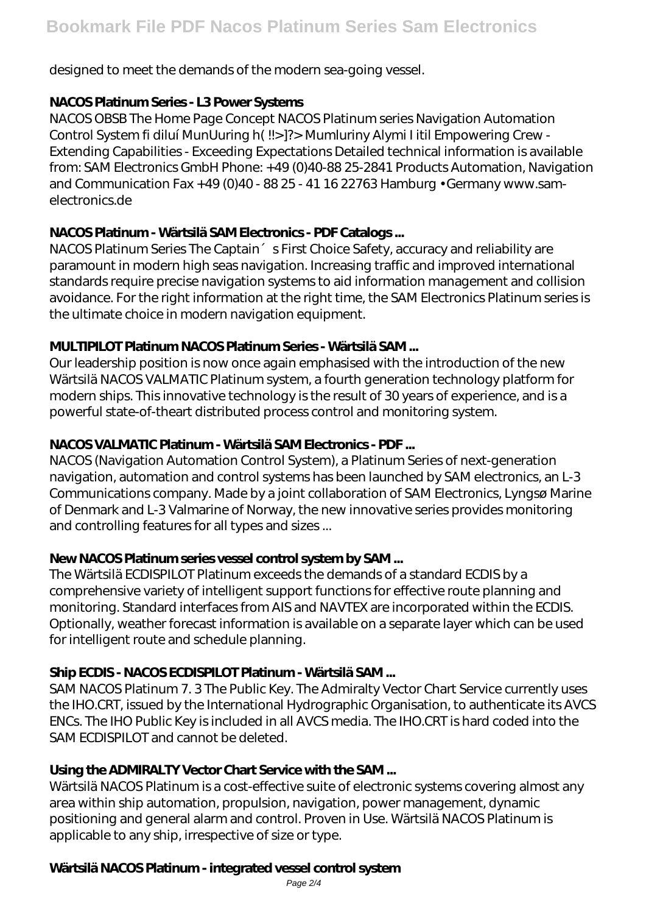designed to meet the demands of the modern sea-going vessel.

## **NACOS Platinum Series - L3 Power Systems**

NACOS OBSB The Home Page Concept NACOS Platinum series Navigation Automation Control System fi diluí MunUuring h( !!>]?> Mumluriny Alymi I itil Empowering Crew - Extending Capabilities - Exceeding Expectations Detailed technical information is available from: SAM Electronics GmbH Phone: +49 (0)40-88 25-2841 Products Automation, Navigation and Communication Fax  $+49$  (0)40 - 88 25 - 41 16 22763 Hamburg  $\cdot$  Germany www.samelectronics.de

# **NACOS Platinum - Wärtsilä SAM Electronics - PDF Catalogs ...**

NACOS Platinum Series The Captain 
Serian Series The Captain and Latin Choice Safety, accuracy and reliability are paramount in modern high seas navigation. Increasing traffic and improved international standards require precise navigation systems to aid information management and collision avoidance. For the right information at the right time, the SAM Electronics Platinum series is the ultimate choice in modern navigation equipment.

## **MULTIPILOT Platinum NACOS Platinum Series - Wärtsilä SAM ...**

Our leadership position is now once again emphasised with the introduction of the new Wärtsilä NACOS VALMATIC Platinum system, a fourth generation technology platform for modern ships. This innovative technology is the result of 30 years of experience, and is a powerful state-of-theart distributed process control and monitoring system.

# **NACOS VALMATIC Platinum - Wärtsilä SAM Electronics - PDF ...**

NACOS (Navigation Automation Control System), a Platinum Series of next-generation navigation, automation and control systems has been launched by SAM electronics, an L-3 Communications company. Made by a joint collaboration of SAM Electronics, Lyngsø Marine of Denmark and L-3 Valmarine of Norway, the new innovative series provides monitoring and controlling features for all types and sizes ...

# **New NACOS Platinum series vessel control system by SAM ...**

The Wärtsilä ECDISPILOT Platinum exceeds the demands of a standard ECDIS by a comprehensive variety of intelligent support functions for effective route planning and monitoring. Standard interfaces from AIS and NAVTEX are incorporated within the ECDIS. Optionally, weather forecast information is available on a separate layer which can be used for intelligent route and schedule planning.

# **Ship ECDIS - NACOS ECDISPILOT Platinum - Wärtsilä SAM ...**

SAM NACOS Platinum 7. 3 The Public Key. The Admiralty Vector Chart Service currently uses the IHO.CRT, issued by the International Hydrographic Organisation, to authenticate its AVCS ENCs. The IHO Public Key is included in all AVCS media. The IHO.CRT is hard coded into the SAM ECDISPILOT and cannot be deleted.

# **Using the ADMIRALTY Vector Chart Service with the SAM ...**

Wärtsilä NACOS Platinum is a cost-effective suite of electronic systems covering almost any area within ship automation, propulsion, navigation, power management, dynamic positioning and general alarm and control. Proven in Use. Wärtsilä NACOS Platinum is applicable to any ship, irrespective of size or type.

### **Wärtsilä NACOS Platinum - integrated vessel control system**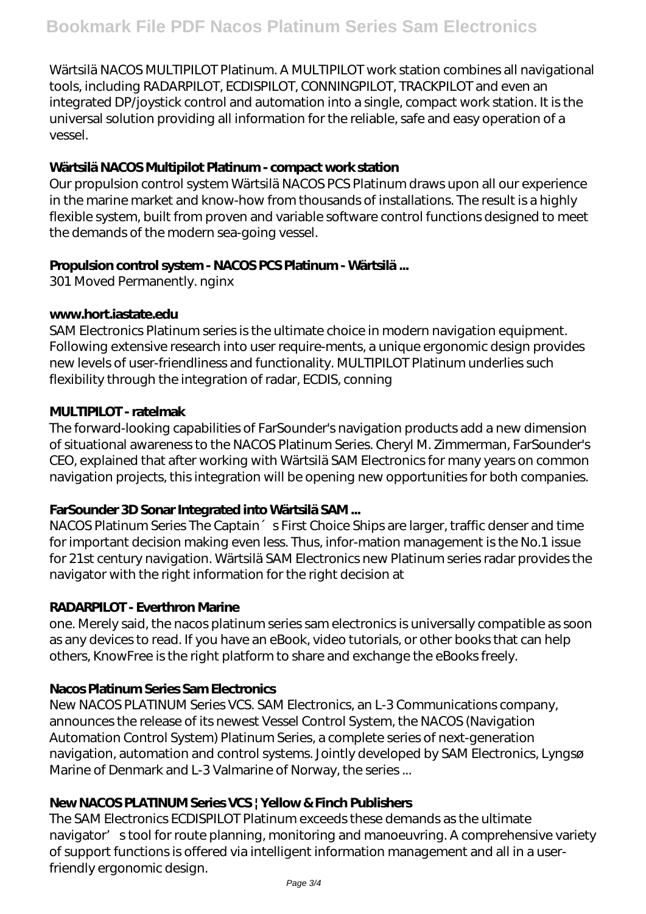Wärtsilä NACOS MULTIPILOT Platinum. A MULTIPILOT work station combines all navigational tools, including RADARPILOT, ECDISPILOT, CONNINGPILOT, TRACKPILOT and even an integrated DP/joystick control and automation into a single, compact work station. It is the universal solution providing all information for the reliable, safe and easy operation of a vessel.

#### **Wärtsilä NACOS Multipilot Platinum - compact work station**

Our propulsion control system Wärtsilä NACOS PCS Platinum draws upon all our experience in the marine market and know-how from thousands of installations. The result is a highly flexible system, built from proven and variable software control functions designed to meet the demands of the modern sea-going vessel.

#### **Propulsion control system - NACOS PCS Platinum - Wärtsilä ...**

301 Moved Permanently. nginx

#### **www.hort.iastate.edu**

SAM Electronics Platinum series is the ultimate choice in modern navigation equipment. Following extensive research into user require-ments, a unique ergonomic design provides new levels of user-friendliness and functionality. MULTIPILOT Platinum underlies such flexibility through the integration of radar, ECDIS, conning

#### **MULTIPILOT - ratelmak**

The forward-looking capabilities of FarSounder's navigation products add a new dimension of situational awareness to the NACOS Platinum Series. Cheryl M. Zimmerman, FarSounder's CEO, explained that after working with Wärtsilä SAM Electronics for many years on common navigation projects, this integration will be opening new opportunities for both companies.

### **FarSounder 3D Sonar Integrated into Wärtsilä SAM ...**

NACOS Platinum Series The Captain 
Serian Series The Captain and the Ships are larger, traffic denser and time for important decision making even less. Thus, infor-mation management is the No.1 issue for 21st century navigation. Wärtsilä SAM Electronics new Platinum series radar provides the navigator with the right information for the right decision at

#### **RADARPILOT - Everthron Marine**

one. Merely said, the nacos platinum series sam electronics is universally compatible as soon as any devices to read. If you have an eBook, video tutorials, or other books that can help others, KnowFree is the right platform to share and exchange the eBooks freely.

### **Nacos Platinum Series Sam Electronics**

New NACOS PLATINUM Series VCS. SAM Electronics, an L-3 Communications company, announces the release of its newest Vessel Control System, the NACOS (Navigation Automation Control System) Platinum Series, a complete series of next-generation navigation, automation and control systems. Jointly developed by SAM Electronics, Lyngsø Marine of Denmark and L-3 Valmarine of Norway, the series ...

#### **New NACOS PLATINUM Series VCS | Yellow & Finch Publishers**

The SAM Electronics ECDISPILOT Platinum exceeds these demands as the ultimate navigator' stool for route planning, monitoring and manoeuvring. A comprehensive variety of support functions is offered via intelligent information management and all in a userfriendly ergonomic design.